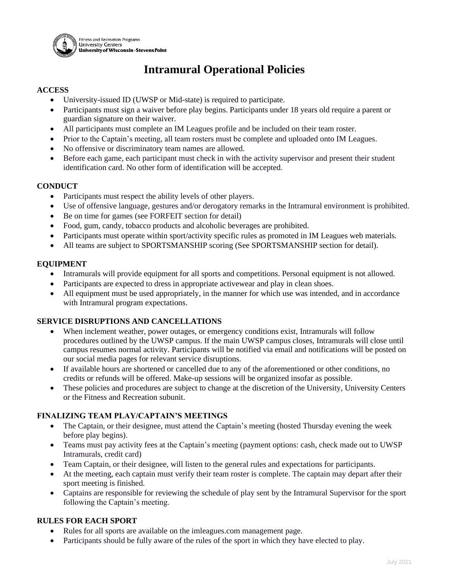

# **Intramural Operational Policies**

## **ACCESS**

- University-issued ID (UWSP or Mid-state) is required to participate.
- Participants must sign a waiver before play begins. Participants under 18 years old require a parent or guardian signature on their waiver.
- All participants must complete an IM Leagues profile and be included on their team roster.
- Prior to the Captain's meeting, all team rosters must be complete and uploaded onto IM Leagues.
- No offensive or discriminatory team names are allowed.
- Before each game, each participant must check in with the activity supervisor and present their student identification card. No other form of identification will be accepted.

## **CONDUCT**

- Participants must respect the ability levels of other players.
- Use of offensive language, gestures and/or derogatory remarks in the Intramural environment is prohibited.
- Be on time for games (see FORFEIT section for detail)
- Food, gum, candy, tobacco products and alcoholic beverages are prohibited.
- Participants must operate within sport/activity specific rules as promoted in IM Leagues web materials.
- All teams are subject to SPORTSMANSHIP scoring (See SPORTSMANSHIP section for detail).

## **EQUIPMENT**

- Intramurals will provide equipment for all sports and competitions. Personal equipment is not allowed.
- Participants are expected to dress in appropriate activewear and play in clean shoes.
- All equipment must be used appropriately, in the manner for which use was intended, and in accordance with Intramural program expectations.

#### **SERVICE DISRUPTIONS AND CANCELLATIONS**

- When inclement weather, power outages, or emergency conditions exist, Intramurals will follow procedures outlined by the UWSP campus. If the main UWSP campus closes, Intramurals will close until campus resumes normal activity. Participants will be notified via email and notifications will be posted on our social media pages for relevant service disruptions.
- If available hours are shortened or cancelled due to any of the aforementioned or other conditions, no credits or refunds will be offered. Make-up sessions will be organized insofar as possible.
- These policies and procedures are subject to change at the discretion of the University, University Centers or the Fitness and Recreation subunit.

# **FINALIZING TEAM PLAY/CAPTAIN'S MEETINGS**

- The Captain, or their designee, must attend the Captain's meeting (hosted Thursday evening the week before play begins).
- Teams must pay activity fees at the Captain's meeting (payment options: cash, check made out to UWSP) Intramurals, credit card)
- Team Captain, or their designee, will listen to the general rules and expectations for participants.
- At the meeting, each captain must verify their team roster is complete. The captain may depart after their sport meeting is finished.
- Captains are responsible for reviewing the schedule of play sent by the Intramural Supervisor for the sport following the Captain's meeting.

# **RULES FOR EACH SPORT**

- Rules for all sports are available on the imleagues.com management page.
- Participants should be fully aware of the rules of the sport in which they have elected to play.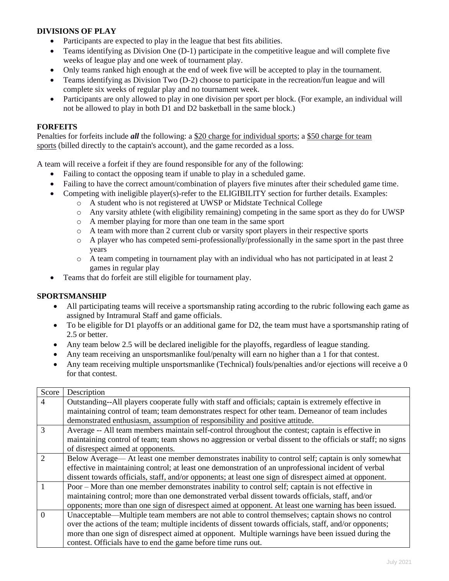## **DIVISIONS OF PLAY**

- Participants are expected to play in the league that best fits abilities.
- Teams identifying as Division One (D-1) participate in the competitive league and will complete five weeks of league play and one week of tournament play.
- Only teams ranked high enough at the end of week five will be accepted to play in the tournament.
- Teams identifying as Division Two (D-2) choose to participate in the recreation/fun league and will complete six weeks of regular play and no tournament week.
- Participants are only allowed to play in one division per sport per block. (For example, an individual will not be allowed to play in both D1 and D2 basketball in the same block.)

## **FORFEITS**

Penalties for forfeits include *all* the following: a \$20 charge for individual sports; a \$50 charge for team sports (billed directly to the captain's account), and the game recorded as a loss.

A team will receive a forfeit if they are found responsible for any of the following:

- Failing to contact the opposing team if unable to play in a scheduled game.
- Failing to have the correct amount/combination of players five minutes after their scheduled game time.
- Competing with ineligible player(s)-refer to the ELIGIBILITY section for further details. Examples:
	- o A student who is not registered at UWSP or Midstate Technical College
	- o Any varsity athlete (with eligibility remaining) competing in the same sport as they do for UWSP
	- o A member playing for more than one team in the same sport
	- o A team with more than 2 current club or varsity sport players in their respective sports
	- o A player who has competed semi-professionally/professionally in the same sport in the past three years
	- o A team competing in tournament play with an individual who has not participated in at least 2 games in regular play
- Teams that do forfeit are still eligible for tournament play.

# **SPORTSMANSHIP**

- All participating teams will receive a sportsmanship rating according to the rubric following each game as assigned by Intramural Staff and game officials.
- To be eligible for D1 playoffs or an additional game for D2, the team must have a sportsmanship rating of 2.5 or better.
- Any team below 2.5 will be declared ineligible for the playoffs, regardless of league standing.
- Any team receiving an unsportsmanlike foul/penalty will earn no higher than a 1 for that contest.
- Any team receiving multiple unsportsmanlike (Technical) fouls/penalties and/or ejections will receive a 0 for that contest.

| Score                       | Description                                                                                                 |
|-----------------------------|-------------------------------------------------------------------------------------------------------------|
| $\overline{4}$              | Outstanding--All players cooperate fully with staff and officials; captain is extremely effective in        |
|                             | maintaining control of team; team demonstrates respect for other team. Demeanor of team includes            |
|                             | demonstrated enthusiasm, assumption of responsibility and positive attitude.                                |
| 3                           | Average -- All team members maintain self-control throughout the contest; captain is effective in           |
|                             | maintaining control of team; team shows no aggression or verbal dissent to the officials or staff; no signs |
|                             | of disrespect aimed at opponents.                                                                           |
| $\mathcal{D}_{\mathcal{L}}$ | Below Average— At least one member demonstrates inability to control self; captain is only somewhat         |
|                             | effective in maintaining control; at least one demonstration of an unprofessional incident of verbal        |
|                             | dissent towards officials, staff, and/or opponents; at least one sign of disrespect aimed at opponent.      |
|                             | Poor – More than one member demonstrates inability to control self; captain is not effective in             |
|                             | maintaining control; more than one demonstrated verbal dissent towards officials, staff, and/or             |
|                             | opponents; more than one sign of disrespect aimed at opponent. At least one warning has been issued.        |
| $\Omega$                    | Unacceptable—Multiple team members are not able to control themselves; captain shows no control             |
|                             | over the actions of the team; multiple incidents of dissent towards officials, staff, and/or opponents;     |
|                             | more than one sign of disrespect aimed at opponent. Multiple warnings have been issued during the           |
|                             | contest. Officials have to end the game before time runs out.                                               |